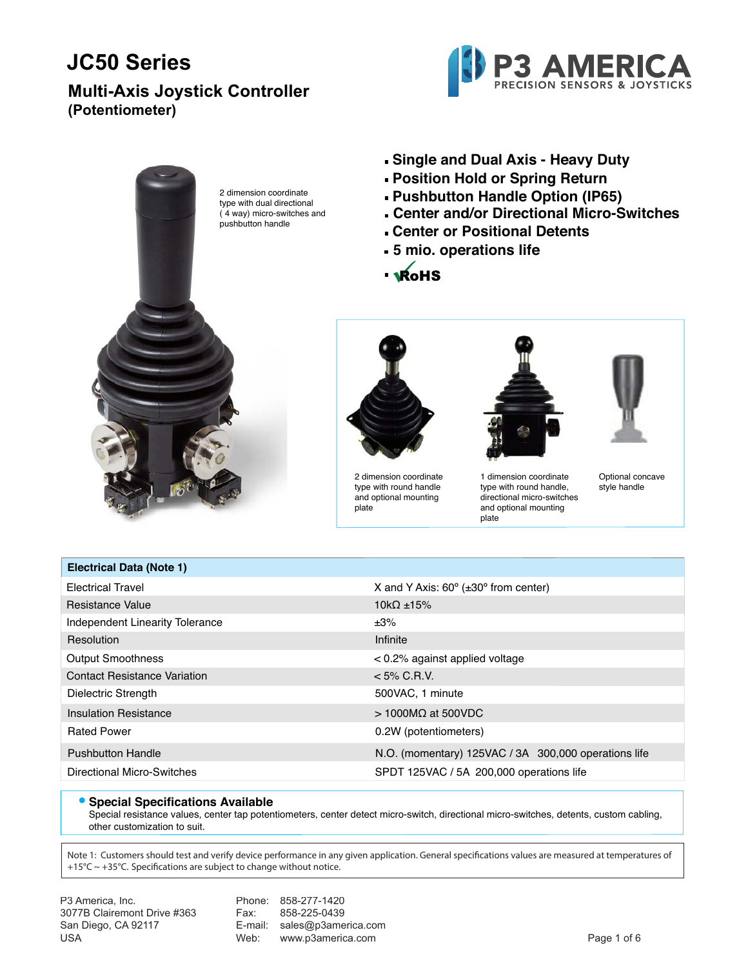### **Multi-Axis Joystick Controller (Potentiometer)**





2 dimension coordinate type with dual directional ( 4 way) micro-switches and pushbutton handle

- **Single and Dual Axis Heavy Duty**
- **Position Hold or Spring Return**
- **Pushbutton Handle Option (IP65)**
- **Center and/or Directional Micro-Switches**
- **Center or Positional Detents**

plate

- **5 mio. operations life**
- · WOHS



2 dimension coordinate type with round handle and optional mounting plate



1 dimension coordinate type with round handle, directional micro-switches and optional mounting

Optional concave style handle

| X and Y Axis: $60^\circ$ ( $\pm 30^\circ$ from center) |
|--------------------------------------------------------|
| $10k\Omega \pm 15\%$                                   |
| ±3%                                                    |
| Infinite                                               |
| $< 0.2\%$ against applied voltage                      |
| $< 5\%$ C.R.V.                                         |
| 500VAC, 1 minute                                       |
| $>1000$ MQ at 500VDC                                   |
| 0.2W (potentiometers)                                  |
| N.O. (momentary) 125VAC / 3A 300,000 operations life   |
| SPDT 125VAC / 5A 200,000 operations life               |
|                                                        |

#### **• Special Specifications Available**

Special resistance values, center tap potentiometers, center detect micro-switch, directional micro-switches, detents, custom cabling, other customization to suit.

Note 1: Customers should test and verify device performance in any given application. General specifications values are measured at temperatures of +15°C ~ +35°C. Specifications are subject to change without notice.

| P3 America, Inc.            |      | Phone: 858-277-1420         |             |
|-----------------------------|------|-----------------------------|-------------|
| 3077B Clairemont Drive #363 | Fax: | 858-225-0439                |             |
| San Diego, CA 92117         |      | E-mail: sales@p3america.com |             |
| USA                         | Web: | www.p3america.com           | Page 1 of 6 |
|                             |      |                             |             |

**Electrical Data (Note 1)**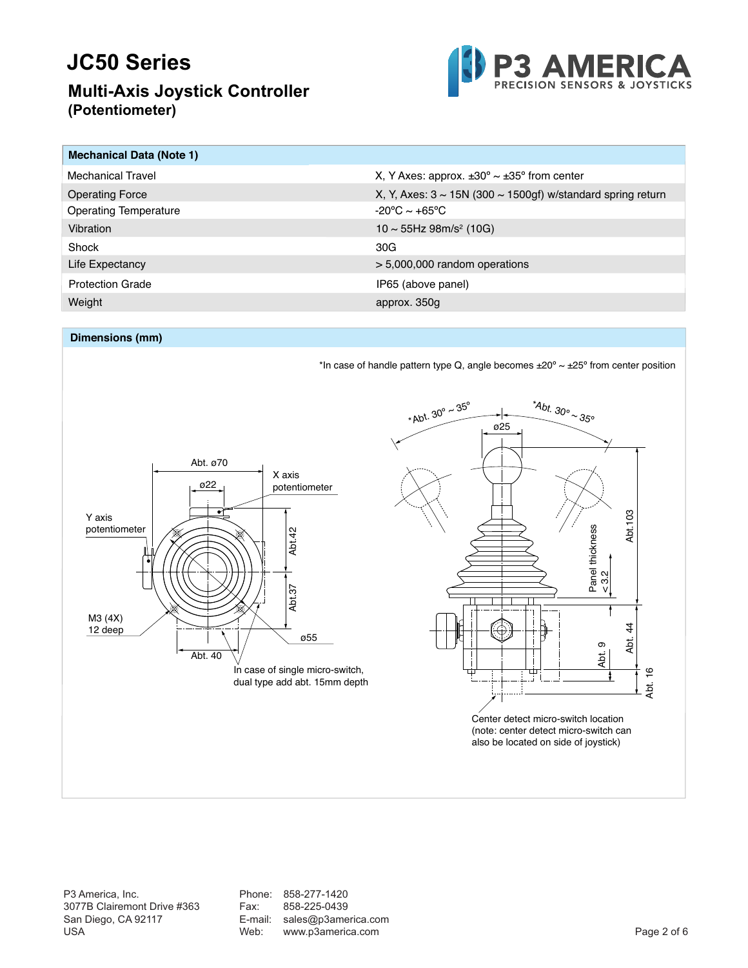### **Multi-Axis Joystick Controller (Potentiometer)**



| <b>Mechanical Data (Note 1)</b> |                                                                        |
|---------------------------------|------------------------------------------------------------------------|
| Mechanical Travel               | X, Y Axes: approx. $\pm 30^{\circ} \sim \pm 35^{\circ}$ from center    |
| <b>Operating Force</b>          | X, Y, Axes: $3 \sim 15N$ (300 $\sim 1500$ gf) w/standard spring return |
| <b>Operating Temperature</b>    | $-20^{\circ}$ C ~ $+65^{\circ}$ C                                      |
| Vibration                       | $10 \sim 55$ Hz 98m/s <sup>2</sup> (10G)                               |
| Shock                           | 30G                                                                    |
| Life Expectancy                 | $> 5,000,000$ random operations                                        |
| <b>Protection Grade</b>         | IP65 (above panel)                                                     |
| Weight                          | approx. 350g                                                           |

#### **Dimensions (mm)**



P3 America, Inc. (a) Repression Phone: 858-277-1420<br>
99. 858-225-0439 Tax: 858-225-0439 USA 9211 E-mail: Web: www.p3america.com

San Diego, CA 92117 E-mail: sales@p3america.com  $U$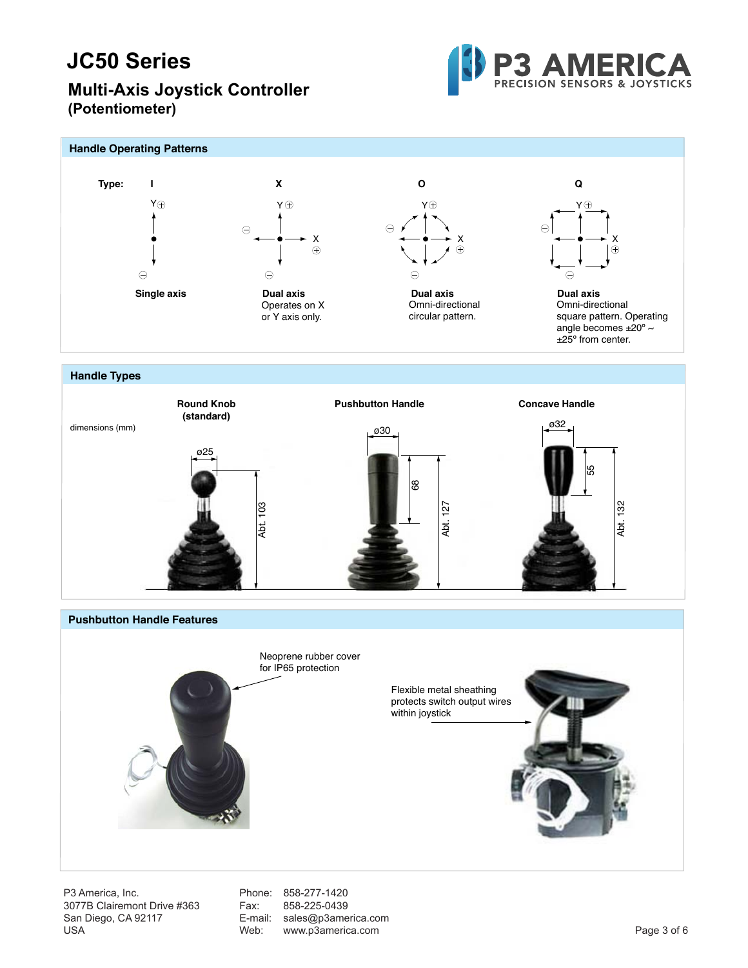### **Multi-Axis Joystick Controller (Potentiometer)**





Abt. 127



P3 America, Inc. 688-277-1420<br>
9077B Clairemont Drive #363 Fax: 858-225-0439 USA 9211 E-mail: Web: www.p3america.com  $U$ 

San Diego, CA 92117 E-mail: sales@p3america.com

Abt. 103

Abt. 132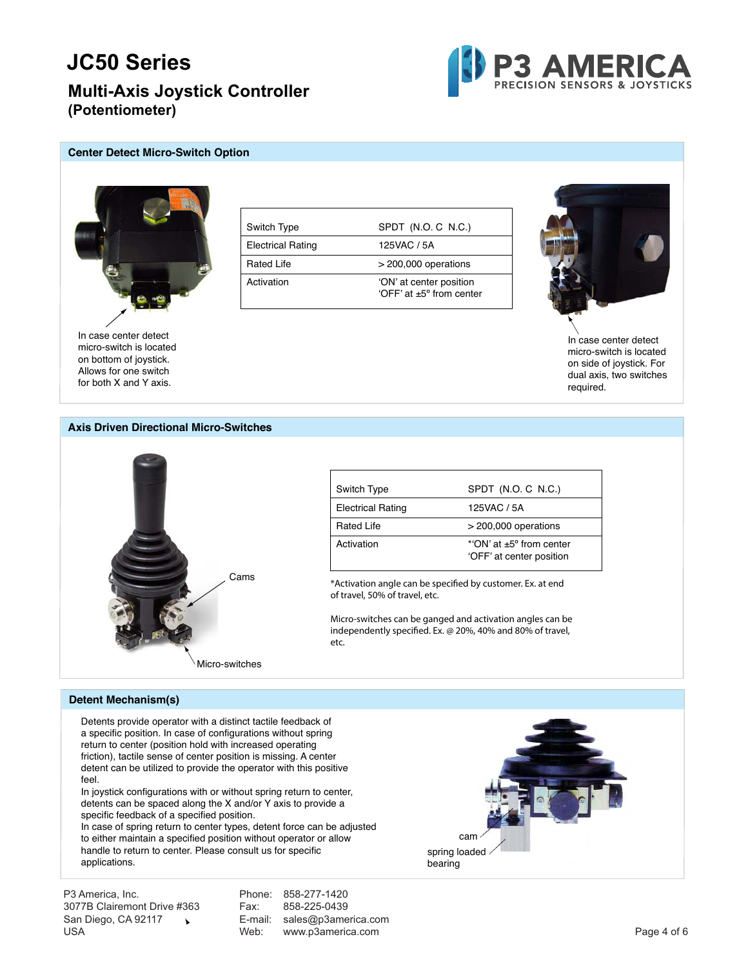**Multi-Axis Joystick Controller (Potentiometer)**



#### **Center Detect Micro-Switch Option**



In case center detect micro-switch is located on bottom of joystick. Allows for one switch for both X and Y axis.

| Switch Type              | SPDT (N.O. C N.C.)                                           |
|--------------------------|--------------------------------------------------------------|
| <b>Electrical Rating</b> | 125VAC / 5A                                                  |
| <b>Rated Life</b>        | $>$ 200,000 operations                                       |
| Activation               | 'ON' at center position<br>'OFF' at $+5^{\circ}$ from center |



In case center detect micro-switch is located on side of joystick. For dual axis, two switches required.

#### **Axis Driven Directional Micro-Switches**



| Switch Type              | SPDT (N.O. C N.C.)                                              |
|--------------------------|-----------------------------------------------------------------|
| <b>Electrical Rating</b> | 125VAC / 5A                                                     |
| <b>Rated Life</b>        | $>$ 200,000 operations                                          |
| Activation               | $*$ ON' at $+5^{\circ}$ from center<br>'OFF' at center position |

\*Activation angle can be specified by customer. Ex. at end of travel, 50% of travel, etc.

Micro-switches can be ganged and activation angles can be independently specified. Ex. @ 20%, 40% and 80% of travel, etc.

#### **Detent Mechanism(s)**

Detents provide operator with a distinct tactile feedback of a specific position. In case of configurations without spring return to center (position hold with increased operating friction), tactile sense of center position is missing. A center detent can be utilized to provide the operator with this positive feel.

In joystick configurations with or without spring return to center, detents can be spaced along the X and/or Y axis to provide a specific feedback of a specified position.

In case of spring return to center types, detent force can be adjusted to either maintain a specified position without operator or allow handle to return to center. Please consult us for specific applications.

P3 America, Inc. (a) Repression Phone: 858-277-1420<br>1977 B Clairemont Drive #363 (a) Pax: 858-225-0439 San Diego, CA 92117 \ E-mail: sales@p3america.com USA 9211 E-mail: Web: www.p3america.com  $U$ 

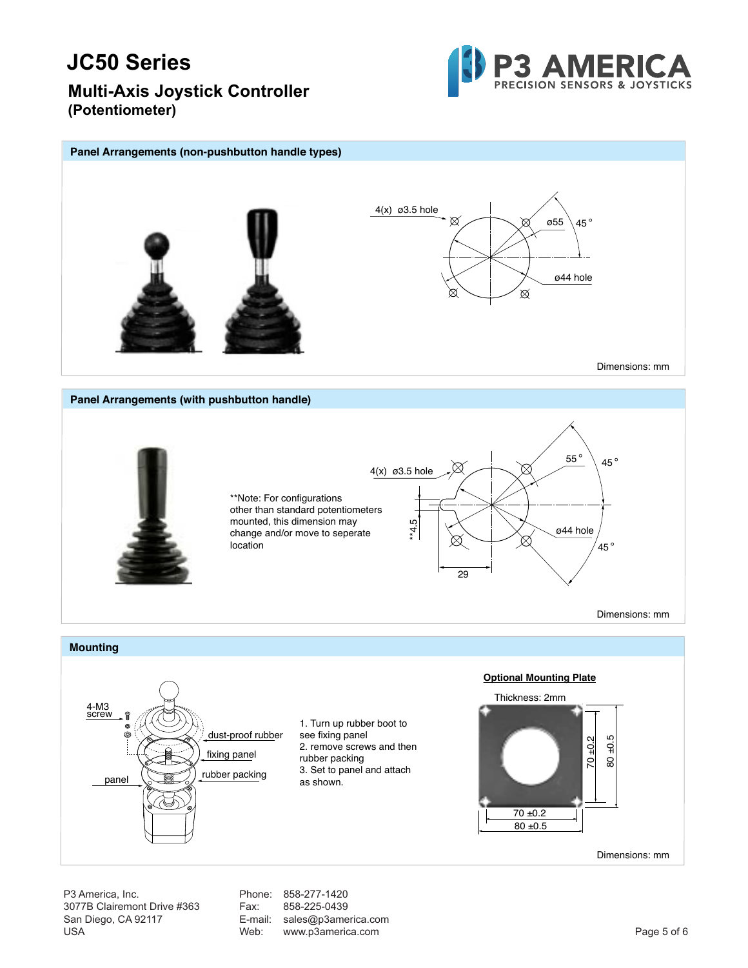

**Multi-Axis Joystick Controller (Potentiometer)**

#### **Panel Arrangements (non-pushbutton handle types)** 4(x) ø3.5 hole  $\otimes$ ø55 45  $^{\circ}$ ø44 hole ⊠ Dimensions: mm **Panel Arrangements (with pushbutton handle)** 55 ° 45° 4(x) ø3.5 hole \*\*Note: For configurations other than standard potentiometers \*\*4.5 mounted, this dimension may ø44 hole change and/or move to seperate ∞ 45 ° location 29 Dimensions: mm **Mounting Optional Mounting Plate** Thickness: 2mm 4-M3 screw 1. Turn up rubber boot to dust-proof rubber see fixing panel 80 ±0.5 70 ±0.2 2. remove screws and then fixing panel rubber packing 3. Set to panel and attach panel (**III**) rubber packing as shown. 70 ±0.2 80 ±0.5 80 ±0.5 Dimensions: mm

P3 America, Inc. (a) Repression Phone: 858-277-1420<br>
99. 858-225-0439 Tax: 858-225-0439 San Diego, CA 92117 E-mail: sales@p3america.com USA 9211 E-mail: Web: www.p3america.com  $U$